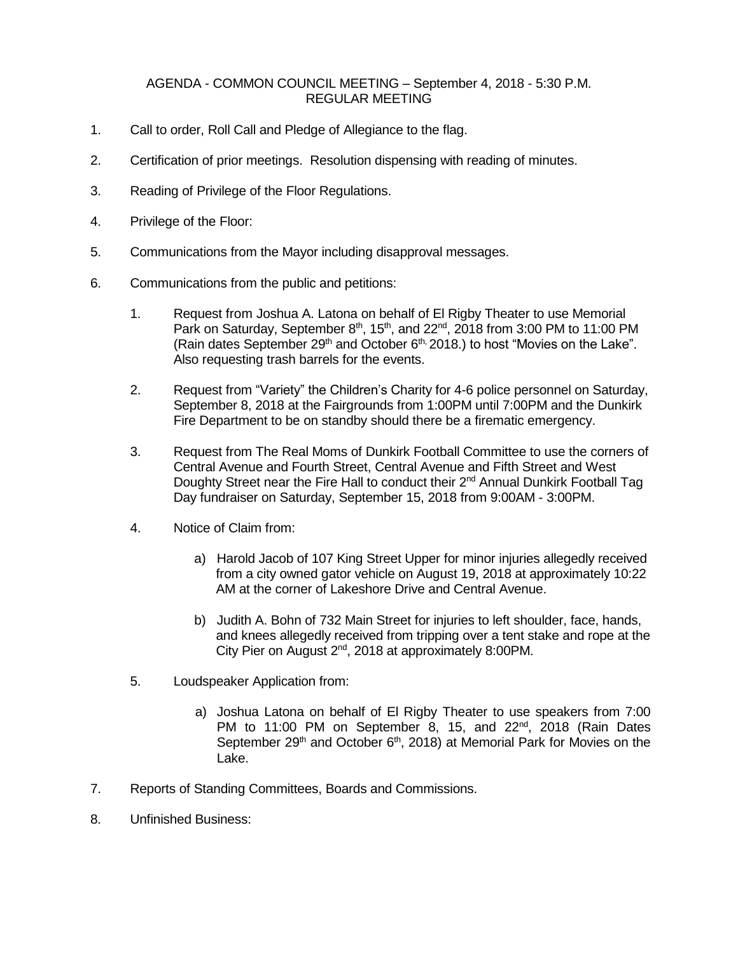## AGENDA - COMMON COUNCIL MEETING – September 4, 2018 - 5:30 P.M. REGULAR MEETING

- 1. Call to order, Roll Call and Pledge of Allegiance to the flag.
- 2. Certification of prior meetings. Resolution dispensing with reading of minutes.
- 3. Reading of Privilege of the Floor Regulations.
- 4. Privilege of the Floor:
- 5. Communications from the Mayor including disapproval messages.
- 6. Communications from the public and petitions:
	- 1. Request from Joshua A. Latona on behalf of El Rigby Theater to use Memorial Park on Saturday, September  $8<sup>th</sup>$ , 15<sup>th</sup>, and 22<sup>nd</sup>, 2018 from 3:00 PM to 11:00 PM (Rain dates September 29<sup>th</sup> and October  $6<sup>th</sup>$ , 2018.) to host "Movies on the Lake". Also requesting trash barrels for the events.
	- 2. Request from "Variety" the Children's Charity for 4-6 police personnel on Saturday, September 8, 2018 at the Fairgrounds from 1:00PM until 7:00PM and the Dunkirk Fire Department to be on standby should there be a firematic emergency.
	- 3. Request from The Real Moms of Dunkirk Football Committee to use the corners of Central Avenue and Fourth Street, Central Avenue and Fifth Street and West Doughty Street near the Fire Hall to conduct their  $2^{nd}$  Annual Dunkirk Football Tag Day fundraiser on Saturday, September 15, 2018 from 9:00AM - 3:00PM.
	- 4. Notice of Claim from:
		- a) Harold Jacob of 107 King Street Upper for minor injuries allegedly received from a city owned gator vehicle on August 19, 2018 at approximately 10:22 AM at the corner of Lakeshore Drive and Central Avenue.
		- b) Judith A. Bohn of 732 Main Street for injuries to left shoulder, face, hands, and knees allegedly received from tripping over a tent stake and rope at the City Pier on August 2nd, 2018 at approximately 8:00PM.
	- 5. Loudspeaker Application from:
		- a) Joshua Latona on behalf of El Rigby Theater to use speakers from 7:00 PM to 11:00 PM on September 8, 15, and 22<sup>nd</sup>, 2018 (Rain Dates September  $29<sup>th</sup>$  and October  $6<sup>th</sup>$ , 2018) at Memorial Park for Movies on the Lake.
- 7. Reports of Standing Committees, Boards and Commissions.
- 8. Unfinished Business: